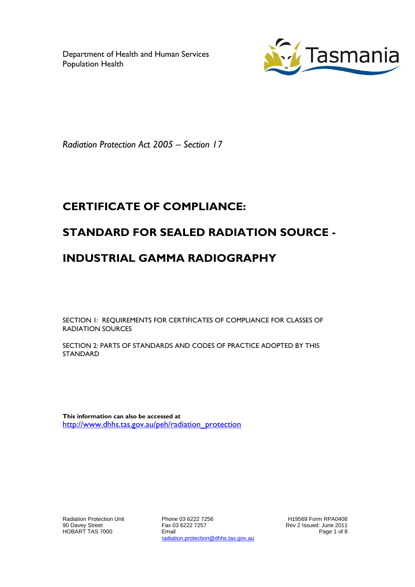Department of Health and Human Services Population Health



*Radiation Protection Act 2005 – Section 17*

# **CERTIFICATE OF COMPLIANCE:**

### **STANDARD FOR SEALED RADIATION SOURCE -**

## **INDUSTRIAL GAMMA RADIOGRAPHY**

SECTION 1: REQUIREMENTS FOR CERTIFICATES OF COMPLIANCE FOR CLASSES OF RADIATION SOURCES

SECTION 2: PARTS OF STANDARDS AND CODES OF PRACTICE ADOPTED BY THIS STANDARD

**This information can also be accessed at** [http://www.dhhs.tas.gov.au/peh/radiation\\_protection](http://www.dhhs.tas.gov.au/peh/radiation_protection)

Radiation Protection Unit 90 Davey Street HOBART TAS 7000

Phone 03 6222 7256 Fax 03 6222 7257 Email radiation.protection@dhhs.tas.gov.au

H19569 Form RPA0408 Rev 2 Issued: June 2011 Page 1 of 8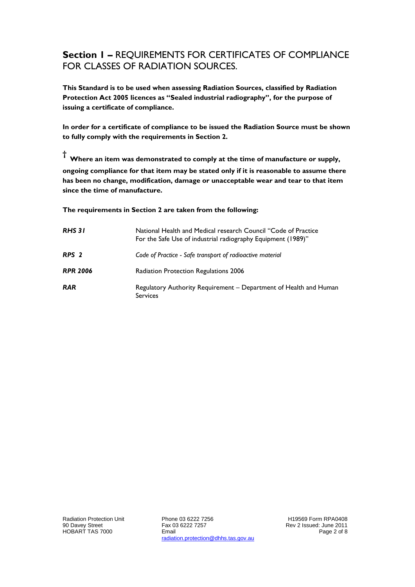### **Section 1 –** REQUIREMENTS FOR CERTIFICATES OF COMPLIANCE FOR CLASSES OF RADIATION SOURCES.

**This Standard is to be used when assessing Radiation Sources, classified by Radiation Protection Act 2005 licences as "Sealed industrial radiography", for the purpose of issuing a certificate of compliance.**

**In order for a certificate of compliance to be issued the Radiation Source must be shown to fully comply with the requirements in Section 2.**

**† Where an item was demonstrated to comply at the time of manufacture or supply, ongoing compliance for that item may be stated only if it is reasonable to assume there has been no change, modification, damage or unacceptable wear and tear to that item since the time of manufacture.** 

**The requirements in Section 2 are taken from the following:**

| <b>RHS 31</b>    | National Health and Medical research Council "Code of Practice<br>For the Safe Use of industrial radiography Equipment (1989)" |
|------------------|--------------------------------------------------------------------------------------------------------------------------------|
| RPS <sub>2</sub> | Code of Practice - Safe transport of radioactive material                                                                      |
| <b>RPR 2006</b>  | Radiation Protection Regulations 2006                                                                                          |
| <b>RAR</b>       | Regulatory Authority Requirement – Department of Health and Human<br><b>Services</b>                                           |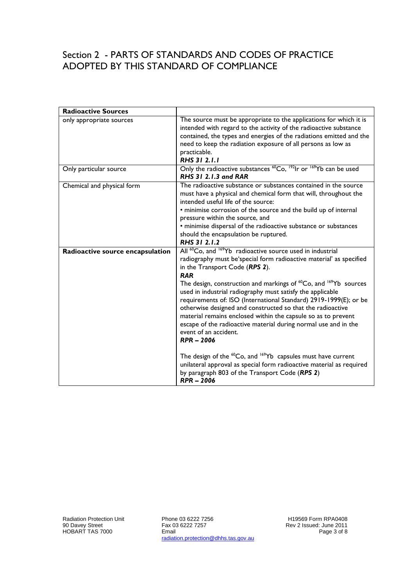#### Section 2 - PARTS OF STANDARDS AND CODES OF PRACTICE ADOPTED BY THIS STANDARD OF COMPLIANCE

| <b>Radioactive Sources</b>       |                                                                                                                                                                                                                                                                                                                                                                                                                                                                                                                                                                                                                                                                                    |
|----------------------------------|------------------------------------------------------------------------------------------------------------------------------------------------------------------------------------------------------------------------------------------------------------------------------------------------------------------------------------------------------------------------------------------------------------------------------------------------------------------------------------------------------------------------------------------------------------------------------------------------------------------------------------------------------------------------------------|
| only appropriate sources         | The source must be appropriate to the applications for which it is<br>intended with regard to the activity of the radioactive substance<br>contained, the types and energies of the radiations emitted and the<br>need to keep the radiation exposure of all persons as low as<br>practicable.<br>RHS 31 2.1.1                                                                                                                                                                                                                                                                                                                                                                     |
| Only particular source           | Only the radioactive substances <sup>60</sup> Co, <sup>192</sup> lr or <sup>169</sup> Yb can be used<br><b>RHS 31 2.1.3 and RAR</b>                                                                                                                                                                                                                                                                                                                                                                                                                                                                                                                                                |
| Chemical and physical form       | The radioactive substance or substances contained in the source<br>must have a physical and chemical form that will, throughout the<br>intended useful life of the source:<br>• minimise corrosion of the source and the build up of internal<br>pressure within the source, and<br>· minimise dispersal of the radioactive substance or substances<br>should the encapsulation be ruptured.<br>RHS 31 2.1.2                                                                                                                                                                                                                                                                       |
| Radioactive source encapsulation | All <sup>60</sup> Co, and <sup>169</sup> Yb radioactive source used in industrial<br>radiography must be'special form radioactive material' as specified<br>in the Transport Code (RPS 2).<br><b>RAR</b><br>The design, construction and markings of <sup>60</sup> Co, and <sup>169</sup> Yb sources<br>used in industrial radiography must satisfy the applicable<br>requirements of: ISO (International Standard) 2919-1999(E); or be<br>otherwise designed and constructed so that the radioactive<br>material remains enclosed within the capsule so as to prevent<br>escape of the radioactive material during normal use and in the<br>event of an accident.<br>$RPR - 2006$ |
|                                  | The design of the <sup>60</sup> Co, and <sup>169</sup> Yb capsules must have current<br>unilateral approval as special form radioactive material as required<br>by paragraph 803 of the Transport Code (RPS 2)<br>$RPR - 2006$                                                                                                                                                                                                                                                                                                                                                                                                                                                     |

Phone 03 6222 7256 Fax 03 6222 7257 Email radiation.protection@dhhs.tas.gov.au H19569 Form RPA0408 Rev 2 Issued: June 2011 Page 3 of 8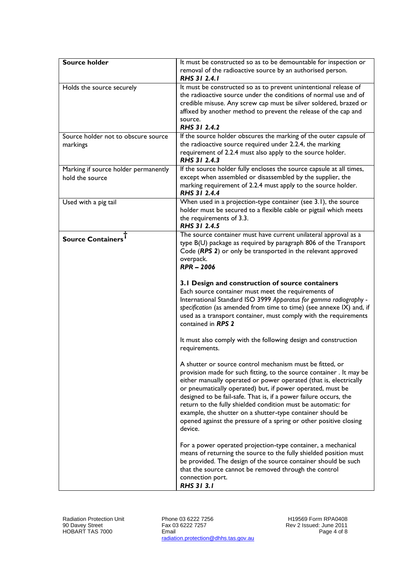| <b>Source holder</b>                                    | It must be constructed so as to be demountable for inspection or<br>removal of the radioactive source by an authorised person.<br>RHS 31 2.4.1                                                                                                                                                                                                                                                                                                                                                                                                         |
|---------------------------------------------------------|--------------------------------------------------------------------------------------------------------------------------------------------------------------------------------------------------------------------------------------------------------------------------------------------------------------------------------------------------------------------------------------------------------------------------------------------------------------------------------------------------------------------------------------------------------|
| Holds the source securely                               | It must be constructed so as to prevent unintentional release of<br>the radioactive source under the conditions of normal use and of<br>credible misuse. Any screw cap must be silver soldered, brazed or<br>affixed by another method to prevent the release of the cap and<br>source.<br>RHS 31 2.4.2                                                                                                                                                                                                                                                |
| Source holder not to obscure source<br>markings         | If the source holder obscures the marking of the outer capsule of<br>the radioactive source required under 2.2.4, the marking<br>requirement of 2.2.4 must also apply to the source holder.<br>RHS 31 2.4.3                                                                                                                                                                                                                                                                                                                                            |
| Marking if source holder permanently<br>hold the source | If the source holder fully encloses the source capsule at all times,<br>except when assembled or disassembled by the supplier, the<br>marking requirement of 2.2.4 must apply to the source holder.<br>RHS 31 2.4.4                                                                                                                                                                                                                                                                                                                                    |
| Used with a pig tail                                    | When used in a projection-type container (see 3.1), the source<br>holder must be secured to a flexible cable or pigtail which meets<br>the requirements of 3.3.<br>RHS 31 2.4.5                                                                                                                                                                                                                                                                                                                                                                        |
| <b>Source Containers</b>                                | The source container must have current unilateral approval as a<br>type B(U) package as required by paragraph 806 of the Transport<br>Code (RPS 2) or only be transported in the relevant approved<br>overpack.<br>$RPR - 2006$                                                                                                                                                                                                                                                                                                                        |
|                                                         | 3.1 Design and construction of source containers<br>Each source container must meet the requirements of<br>International Standard ISO 3999 Apparatus for gamma radiography -<br>specification (as amended from time to time) (see annexe IX) and, if<br>used as a transport container, must comply with the requirements<br>contained in RPS 2                                                                                                                                                                                                         |
|                                                         | It must also comply with the following design and construction<br>requirements.                                                                                                                                                                                                                                                                                                                                                                                                                                                                        |
|                                                         | A shutter or source control mechanism must be fitted, or<br>provision made for such fitting, to the source container. It may be<br>either manually operated or power operated (that is, electrically<br>or pneumatically operated) but, if power operated, must be<br>designed to be fail-safe. That is, if a power failure occurs, the<br>return to the fully shielded condition must be automatic: for<br>example, the shutter on a shutter-type container should be<br>opened against the pressure of a spring or other positive closing<br>device. |
|                                                         | For a power operated projection-type container, a mechanical<br>means of returning the source to the fully shielded position must<br>be provided. The design of the source container should be such<br>that the source cannot be removed through the control<br>connection port.<br>RHS 31 3.1                                                                                                                                                                                                                                                         |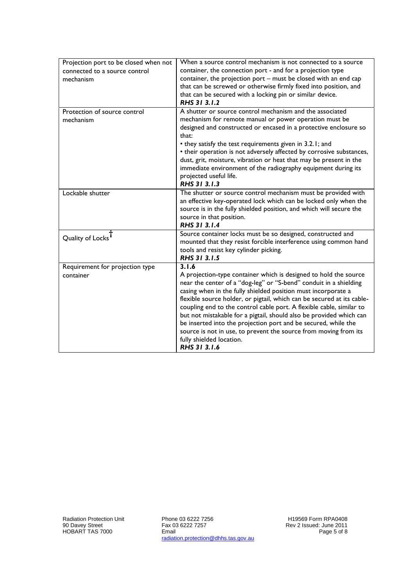| Projection port to be closed when not<br>connected to a source control<br>mechanism | When a source control mechanism is not connected to a source<br>container, the connection port - and for a projection type<br>container, the projection port - must be closed with an end cap<br>that can be screwed or otherwise firmly fixed into position, and<br>that can be secured with a locking pin or similar device.<br>RHS 31 3.1.2                                                                                                                                                                                                                                                                             |
|-------------------------------------------------------------------------------------|----------------------------------------------------------------------------------------------------------------------------------------------------------------------------------------------------------------------------------------------------------------------------------------------------------------------------------------------------------------------------------------------------------------------------------------------------------------------------------------------------------------------------------------------------------------------------------------------------------------------------|
| Protection of source control<br>mechanism                                           | A shutter or source control mechanism and the associated<br>mechanism for remote manual or power operation must be<br>designed and constructed or encased in a protective enclosure so<br>that:<br>• they satisfy the test requirements given in 3.2.1; and<br>• their operation is not adversely affected by corrosive substances,<br>dust, grit, moisture, vibration or heat that may be present in the<br>immediate environment of the radiography equipment during its<br>projected useful life.<br>RHS 31 3.1.3                                                                                                       |
| Lockable shutter                                                                    | The shutter or source control mechanism must be provided with<br>an effective key-operated lock which can be locked only when the<br>source is in the fully shielded position, and which will secure the<br>source in that position.<br>RHS 31 3.1.4                                                                                                                                                                                                                                                                                                                                                                       |
| Quality of Locks                                                                    | Source container locks must be so designed, constructed and<br>mounted that they resist forcible interference using common hand<br>tools and resist key cylinder picking.<br>RHS 31 3.1.5                                                                                                                                                                                                                                                                                                                                                                                                                                  |
| Requirement for projection type<br>container                                        | 3.1.6<br>A projection-type container which is designed to hold the source<br>near the center of a "dog-leg" or "S-bend" conduit in a shielding<br>casing when in the fully shielded position must incorporate a<br>flexible source holder, or pigtail, which can be secured at its cable-<br>coupling end to the control cable port. A flexible cable, similar to<br>but not mistakable for a pigtail, should also be provided which can<br>be inserted into the projection port and be secured, while the<br>source is not in use, to prevent the source from moving from its<br>fully shielded location.<br>RHS 31 3.1.6 |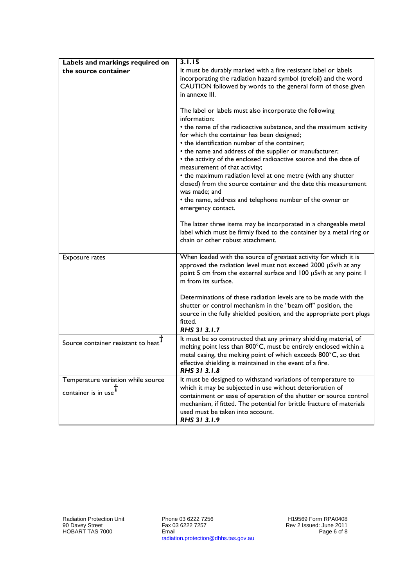| Labels and markings required on    | 3.1.15                                                                                                                                                                                                                                                                                                                                                                                                                                                                                                                                                                                                                       |
|------------------------------------|------------------------------------------------------------------------------------------------------------------------------------------------------------------------------------------------------------------------------------------------------------------------------------------------------------------------------------------------------------------------------------------------------------------------------------------------------------------------------------------------------------------------------------------------------------------------------------------------------------------------------|
| the source container               | It must be durably marked with a fire resistant label or labels                                                                                                                                                                                                                                                                                                                                                                                                                                                                                                                                                              |
|                                    | incorporating the radiation hazard symbol (trefoil) and the word<br>CAUTION followed by words to the general form of those given                                                                                                                                                                                                                                                                                                                                                                                                                                                                                             |
|                                    | in annexe III.                                                                                                                                                                                                                                                                                                                                                                                                                                                                                                                                                                                                               |
|                                    | The label or labels must also incorporate the following<br>information:<br>• the name of the radioactive substance, and the maximum activity<br>for which the container has been designed;<br>• the identification number of the container;<br>• the name and address of the supplier or manufacturer;<br>• the activity of the enclosed radioactive source and the date of<br>measurement of that activity;<br>• the maximum radiation level at one metre (with any shutter<br>closed) from the source container and the date this measurement<br>was made; and<br>• the name, address and telephone number of the owner or |
|                                    | emergency contact.                                                                                                                                                                                                                                                                                                                                                                                                                                                                                                                                                                                                           |
|                                    | The latter three items may be incorporated in a changeable metal<br>label which must be firmly fixed to the container by a metal ring or<br>chain or other robust attachment.                                                                                                                                                                                                                                                                                                                                                                                                                                                |
| Exposure rates                     | When loaded with the source of greatest activity for which it is<br>approved the radiation level must not exceed 2000 µSv/h at any<br>point 5 cm from the external surface and 100 µSv/h at any point 1<br>m from its surface.                                                                                                                                                                                                                                                                                                                                                                                               |
|                                    | Determinations of these radiation levels are to be made with the<br>shutter or control mechanism in the "beam off" position, the<br>source in the fully shielded position, and the appropriate port plugs<br>fitted.<br>RHS 31 3.1.7                                                                                                                                                                                                                                                                                                                                                                                         |
| Source container resistant to heat | It must be so constructed that any primary shielding material, of<br>melting point less than 800°C, must be entirely enclosed within a<br>metal casing, the melting point of which exceeds 800°C, so that<br>effective shielding is maintained in the event of a fire.<br>RHS 31 3.1.8                                                                                                                                                                                                                                                                                                                                       |
| Temperature variation while source | It must be designed to withstand variations of temperature to<br>which it may be subjected in use without deterioration of                                                                                                                                                                                                                                                                                                                                                                                                                                                                                                   |
| container is in use <sup>†</sup>   | containment or ease of operation of the shutter or source control<br>mechanism, if fitted. The potential for brittle fracture of materials<br>used must be taken into account.<br>RHS 31 3.1.9                                                                                                                                                                                                                                                                                                                                                                                                                               |

Phone 03 6222 7256 Fax 03 6222 7257 Email radiation.protection@dhhs.tas.gov.au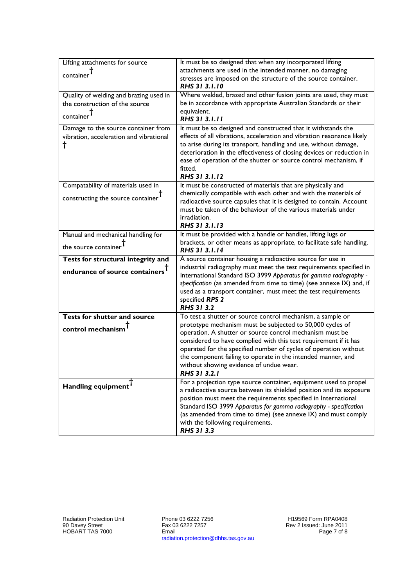| Lifting attachments for source              | It must be so designed that when any incorporated lifting                                                                      |
|---------------------------------------------|--------------------------------------------------------------------------------------------------------------------------------|
| container <sup>†</sup>                      | attachments are used in the intended manner, no damaging                                                                       |
|                                             | stresses are imposed on the structure of the source container.                                                                 |
|                                             | <b>RHS 31 3.1.10</b>                                                                                                           |
| Quality of welding and brazing used in      | Where welded, brazed and other fusion joints are used, they must                                                               |
| the construction of the source              | be in accordance with appropriate Australian Standards or their                                                                |
| $_{\rm container}$                          | equivalent.                                                                                                                    |
|                                             | <b>RHS 31 3.1.11</b>                                                                                                           |
| Damage to the source container from         | It must be so designed and constructed that it withstands the                                                                  |
| vibration, acceleration and vibrational     | effects of all vibrations, acceleration and vibration resonance likely                                                         |
| t                                           | to arise during its transport, handling and use, without damage,                                                               |
|                                             | deterioration in the effectiveness of closing devices or reduction in                                                          |
|                                             | ease of operation of the shutter or source control mechanism, if                                                               |
|                                             | fitted.<br>RHS 31 3.1.12                                                                                                       |
|                                             |                                                                                                                                |
| Compatability of materials used in          | It must be constructed of materials that are physically and<br>chemically compatible with each other and with the materials of |
| constructing the source container           | radioactive source capsules that it is designed to contain. Account                                                            |
|                                             | must be taken of the behaviour of the various materials under                                                                  |
|                                             | irradiation.                                                                                                                   |
|                                             | RHS 31 3.1.13                                                                                                                  |
| Manual and mechanical handling for          | It must be provided with a handle or handles, lifting lugs or                                                                  |
|                                             | brackets, or other means as appropriate, to facilitate safe handling.                                                          |
| the source container <sup>T</sup>           | RHS 31 3.1.14                                                                                                                  |
| Tests for structural integrity and          | A source container housing a radioactive source for use in                                                                     |
| endurance of source containers <sup>1</sup> | industrial radiography must meet the test requirements specified in                                                            |
|                                             | International Standard ISO 3999 Apparatus for gamma radiography -                                                              |
|                                             |                                                                                                                                |
|                                             | specification (as amended from time to time) (see annexe IX) and, if                                                           |
|                                             | used as a transport container, must meet the test requirements                                                                 |
|                                             | specified RPS 2                                                                                                                |
|                                             | <b>RHS 31 3.2</b>                                                                                                              |
| <b>Tests for shutter and source</b>         | To test a shutter or source control mechanism, a sample or                                                                     |
|                                             | prototype mechanism must be subjected to 50,000 cycles of                                                                      |
| control mechanism <sup>1</sup>              | operation. A shutter or source control mechanism must be                                                                       |
|                                             | considered to have complied with this test requirement if it has                                                               |
|                                             | operated for the specified number of cycles of operation without                                                               |
|                                             | the component failing to operate in the intended manner, and                                                                   |
|                                             | without showing evidence of undue wear.                                                                                        |
|                                             | RHS 31 3.2.1                                                                                                                   |
| Handling equipment                          | For a projection type source container, equipment used to propel                                                               |
|                                             | a radioactive source between its shielded position and its exposure                                                            |
|                                             | position must meet the requirements specified in International                                                                 |
|                                             | Standard ISO 3999 Apparatus for gamma radiography - specification                                                              |
|                                             | (as amended from time to time) (see annexe IX) and must comply<br>with the following requirements.                             |